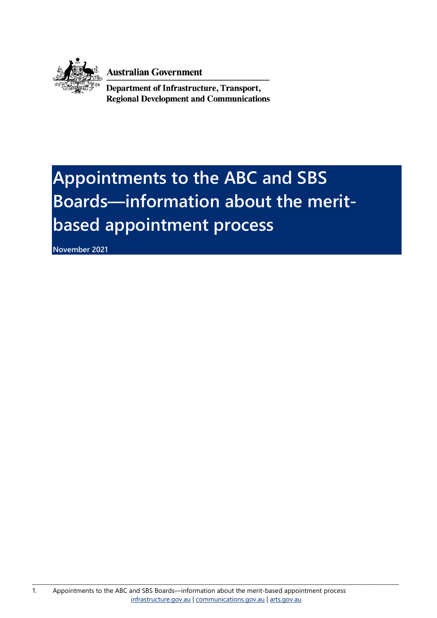

**Australian Government** 

Department of Infrastructure, Transport, **Regional Development and Communications** 

# **Appointments to the ABC and SBS Boards—information about the meritbased appointment process**

**November 2021**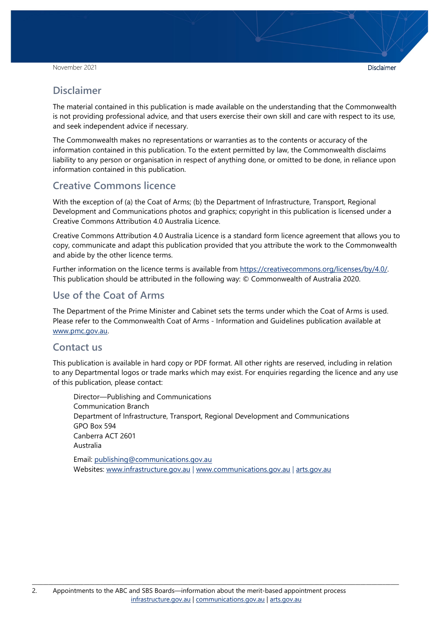#### **Disclaimer**

The material contained in this publication is made available on the understanding that the Commonwealth is not providing professional advice, and that users exercise their own skill and care with respect to its use, and seek independent advice if necessary.

The Commonwealth makes no representations or warranties as to the contents or accuracy of the information contained in this publication. To the extent permitted by law, the Commonwealth disclaims liability to any person or organisation in respect of anything done, or omitted to be done, in reliance upon information contained in this publication.

#### **Creative Commons licence**

With the exception of (a) the Coat of Arms; (b) the Department of Infrastructure, Transport, Regional Development and Communications photos and graphics; copyright in this publication is licensed under a Creative Commons Attribution 4.0 Australia Licence.

Creative Commons Attribution 4.0 Australia Licence is a standard form licence agreement that allows you to copy, communicate and adapt this publication provided that you attribute the work to the Commonwealth and abide by the other licence terms.

Further information on the licence terms is available from [https://creativecommons.org/licenses/by/4.0/.](https://creativecommons.org/licenses/by/4.0/) This publication should be attributed in the following way: © Commonwealth of Australia 2020.

#### **Use of the Coat of Arms**

The Department of the Prime Minister and Cabinet sets the terms under which the Coat of Arms is used. Please refer to the Commonwealth Coat of Arms - Information and Guidelines publication available at [www.pmc.gov.au.](http://www.pmc.gov.au/)

#### **Contact us**

This publication is available in hard copy or PDF format. All other rights are reserved, including in relation to any Departmental logos or trade marks which may exist. For enquiries regarding the licence and any use of this publication, please contact:

Director—Publishing and Communications Communication Branch Department of Infrastructure, Transport, Regional Development and Communications GPO Box 594 Canberra ACT 2601 Australia

Email: [publishing@communications.gov.au](mailto:publishing@communications.gov.au) Websites: [www.infrastructure.gov.au](http://www.infrastructure.gov.au/) | [www.communications.gov.au](http://www.communications.gov.au/) | [arts.gov.au](http://www.arts.gov.au/)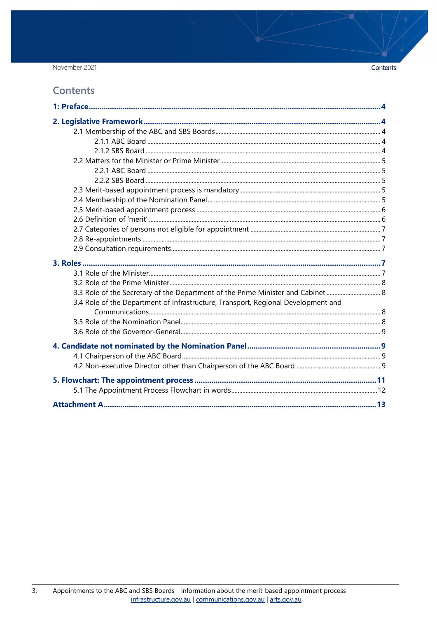November 2021

#### **Contents**

| 3.3 Role of the Secretary of the Department of the Prime Minister and Cabinet     |  |
|-----------------------------------------------------------------------------------|--|
| 3.4 Role of the Department of Infrastructure, Transport, Regional Development and |  |
|                                                                                   |  |
|                                                                                   |  |
|                                                                                   |  |
|                                                                                   |  |
|                                                                                   |  |
|                                                                                   |  |
|                                                                                   |  |
|                                                                                   |  |

Contents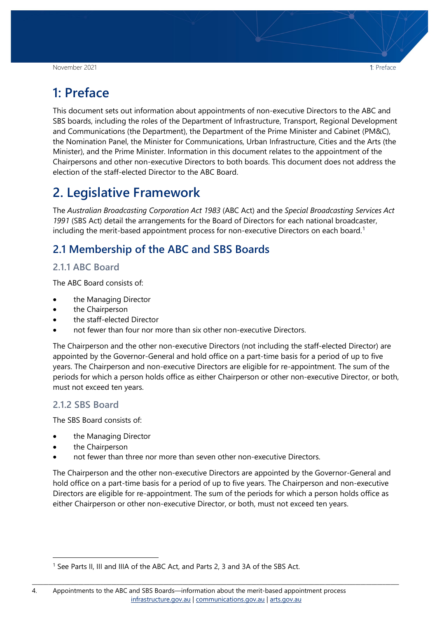<span id="page-3-0"></span>This document sets out information about appointments of non-executive Directors to the ABC and SBS boards, including the roles of the Department of Infrastructure, Transport, Regional Development and Communications (the Department), the Department of the Prime Minister and Cabinet (PM&C), the Nomination Panel, the Minister for Communications, Urban Infrastructure, Cities and the Arts (the Minister), and the Prime Minister. Information in this document relates to the appointment of the Chairpersons and other non-executive Directors to both boards. This document does not address the election of the staff-elected Director to the ABC Board.

## <span id="page-3-1"></span>**2. Legislative Framework**

The *Australian Broadcasting Corporation Act 1983* (ABC Act) and the *Special Broadcasting Services Act 1991* (SBS Act) detail the arrangements for the Board of Directors for each national broadcaster, including the merit-based appointment process for non-executive Directors on each board.<sup>[1](#page-3-5)</sup>

## <span id="page-3-2"></span>**2.1 Membership of the ABC and SBS Boards**

#### <span id="page-3-3"></span>**2.1.1 ABC Board**

The ABC Board consists of:

- the Managing Director
- the Chairperson
- the staff-elected Director
- not fewer than four nor more than six other non-executive Directors.

The Chairperson and the other non-executive Directors (not including the staff-elected Director) are appointed by the Governor-General and hold office on a part-time basis for a period of up to five years. The Chairperson and non-executive Directors are eligible for re-appointment. The sum of the periods for which a person holds office as either Chairperson or other non-executive Director, or both, must not exceed ten years.

#### <span id="page-3-4"></span>**2.1.2 SBS Board**

The SBS Board consists of:

- the Managing Director
- the Chairperson
- not fewer than three nor more than seven other non-executive Directors.

The Chairperson and the other non-executive Directors are appointed by the Governor-General and hold office on a part-time basis for a period of up to five years. The Chairperson and non-executive Directors are eligible for re-appointment. The sum of the periods for which a person holds office as either Chairperson or other non-executive Director, or both, must not exceed ten years.

<span id="page-3-5"></span><sup>&</sup>lt;sup>1</sup> See Parts II, III and IIIA of the ABC Act, and Parts 2, 3 and 3A of the SBS Act.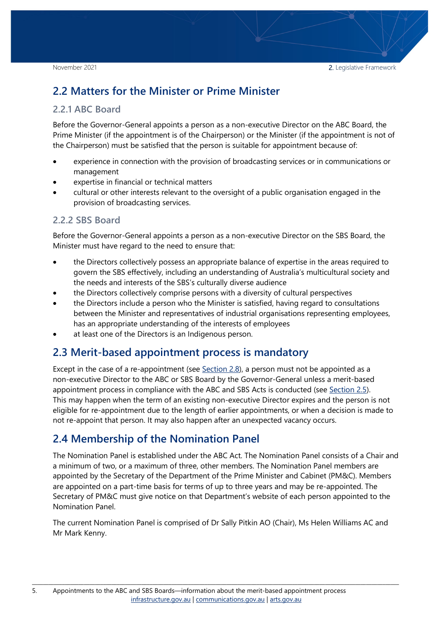## <span id="page-4-0"></span>**2.2 Matters for the Minister or Prime Minister**

#### <span id="page-4-1"></span>**2.2.1 ABC Board**

Before the Governor-General appoints a person as a non-executive Director on the ABC Board, the Prime Minister (if the appointment is of the Chairperson) or the Minister (if the appointment is not of the Chairperson) must be satisfied that the person is suitable for appointment because of:

- experience in connection with the provision of broadcasting services or in communications or management
- expertise in financial or technical matters
- cultural or other interests relevant to the oversight of a public organisation engaged in the provision of broadcasting services.

#### <span id="page-4-2"></span>**2.2.2 SBS Board**

Before the Governor-General appoints a person as a non-executive Director on the SBS Board, the Minister must have regard to the need to ensure that:

- the Directors collectively possess an appropriate balance of expertise in the areas required to govern the SBS effectively, including an understanding of Australia's multicultural society and the needs and interests of the SBS's culturally diverse audience
- the Directors collectively comprise persons with a diversity of cultural perspectives
- the Directors include a person who the Minister is satisfied, having regard to consultations between the Minister and representatives of industrial organisations representing employees, has an appropriate understanding of the interests of employees
- at least one of the Directors is an Indigenous person.

### <span id="page-4-3"></span>**2.3 Merit-based appointment process is mandatory**

Except in the case of a re-appointment (see [Section 2.8\)](#page-6-1), a person must not be appointed as a non-executive Director to the ABC or SBS Board by the Governor-General unless a merit-based appointment process in compliance with the ABC and SBS Acts is conducted (see [Section 2.5\)](#page-5-0). This may happen when the term of an existing non-executive Director expires and the person is not eligible for re-appointment due to the length of earlier appointments, or when a decision is made to not re-appoint that person. It may also happen after an unexpected vacancy occurs.

## <span id="page-4-4"></span>**2.4 Membership of the Nomination Panel**

The Nomination Panel is established under the ABC Act. The Nomination Panel consists of a Chair and a minimum of two, or a maximum of three, other members. The Nomination Panel members are appointed by the Secretary of the Department of the Prime Minister and Cabinet (PM&C). Members are appointed on a part-time basis for terms of up to three years and may be re-appointed. The Secretary of PM&C must give notice on that Department's website of each person appointed to the Nomination Panel.

The current Nomination Panel is comprised of Dr Sally Pitkin AO (Chair), Ms Helen Williams AC and Mr Mark Kenny.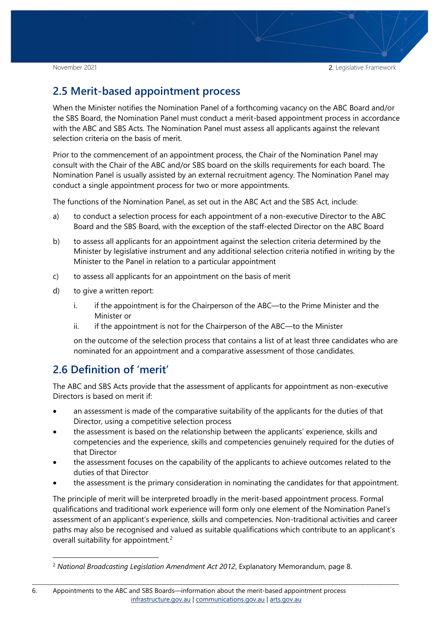November 2021 2. Legislative Framework

### <span id="page-5-0"></span>**2.5 Merit-based appointment process**

When the Minister notifies the Nomination Panel of a forthcoming vacancy on the ABC Board and/or the SBS Board, the Nomination Panel must conduct a merit-based appointment process in accordance with the ABC and SBS Acts. The Nomination Panel must assess all applicants against the relevant selection criteria on the basis of merit.

Prior to the commencement of an appointment process, the Chair of the Nomination Panel may consult with the Chair of the ABC and/or SBS board on the skills requirements for each board. The Nomination Panel is usually assisted by an external recruitment agency. The Nomination Panel may conduct a single appointment process for two or more appointments.

The functions of the Nomination Panel, as set out in the ABC Act and the SBS Act, include:

- a) to conduct a selection process for each appointment of a non-executive Director to the ABC Board and the SBS Board, with the exception of the staff-elected Director on the ABC Board
- b) to assess all applicants for an appointment against the selection criteria determined by the Minister by legislative instrument and any additional selection criteria notified in writing by the Minister to the Panel in relation to a particular appointment
- c) to assess all applicants for an appointment on the basis of merit
- d) to give a written report:
	- i. if the appointment is for the Chairperson of the ABC—to the Prime Minister and the Minister or
	- ii. if the appointment is not for the Chairperson of the ABC—to the Minister

on the outcome of the selection process that contains a list of at least three candidates who are nominated for an appointment and a comparative assessment of those candidates.

### <span id="page-5-1"></span>**2.6 Definition of 'merit'**

The ABC and SBS Acts provide that the assessment of applicants for appointment as non-executive Directors is based on merit if:

- an assessment is made of the comparative suitability of the applicants for the duties of that Director, using a competitive selection process
- the assessment is based on the relationship between the applicants' experience, skills and competencies and the experience, skills and competencies genuinely required for the duties of that Director
- the assessment focuses on the capability of the applicants to achieve outcomes related to the duties of that Director
- the assessment is the primary consideration in nominating the candidates for that appointment.

The principle of merit will be interpreted broadly in the merit-based appointment process. Formal qualifications and traditional work experience will form only one element of the Nomination Panel's assessment of an applicant's experience, skills and competencies. Non-traditional activities and career paths may also be recognised and valued as suitable qualifications which contribute to an applicant's overall suitability for appointment.<sup>[2](#page-5-2)</sup>

<span id="page-5-2"></span> <sup>2</sup> *National Broadcasting Legislation Amendment Act 2012*, Explanatory Memorandum, page 8.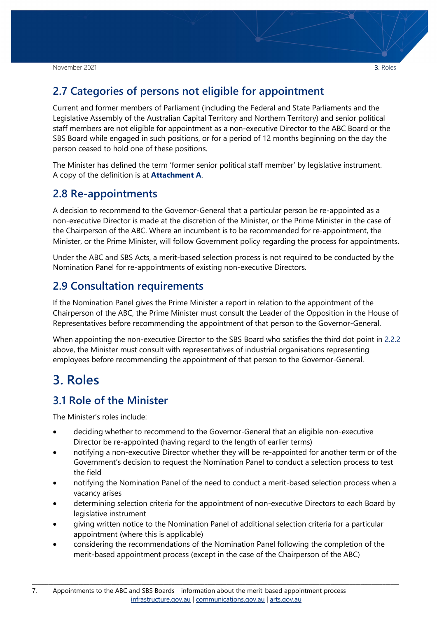### <span id="page-6-0"></span>**2.7 Categories of persons not eligible for appointment**

Current and former members of Parliament (including the Federal and State Parliaments and the Legislative Assembly of the Australian Capital Territory and Northern Territory) and senior political staff members are not eligible for appointment as a non-executive Director to the ABC Board or the SBS Board while engaged in such positions, or for a period of 12 months beginning on the day the person ceased to hold one of these positions.

The Minister has defined the term 'former senior political staff member' by legislative instrument. A copy of the definition is at **Attachment A**.

#### <span id="page-6-1"></span>**2.8 Re-appointments**

A decision to recommend to the Governor-General that a particular person be re-appointed as a non-executive Director is made at the discretion of the Minister, or the Prime Minister in the case of the Chairperson of the ABC. Where an incumbent is to be recommended for re-appointment, the Minister, or the Prime Minister, will follow Government policy regarding the process for appointments.

Under the ABC and SBS Acts, a merit-based selection process is not required to be conducted by the Nomination Panel for re-appointments of existing non-executive Directors.

### <span id="page-6-2"></span>**2.9 Consultation requirements**

If the Nomination Panel gives the Prime Minister a report in relation to the appointment of the Chairperson of the ABC, the Prime Minister must consult the Leader of the Opposition in the House of Representatives before recommending the appointment of that person to the Governor-General.

When appointing the non-executive Director to the SBS Board who satisfies the third dot point in [2.2.2](#page-4-2) above, the Minister must consult with representatives of industrial organisations representing employees before recommending the appointment of that person to the Governor-General.

## <span id="page-6-3"></span>**3. Roles**

### <span id="page-6-4"></span>**3.1 Role of the Minister**

The Minister's roles include:

- deciding whether to recommend to the Governor-General that an eligible non-executive Director be re-appointed (having regard to the length of earlier terms)
- notifying a non-executive Director whether they will be re-appointed for another term or of the Government's decision to request the Nomination Panel to conduct a selection process to test the field
- notifying the Nomination Panel of the need to conduct a merit-based selection process when a vacancy arises
- determining selection criteria for the appointment of non-executive Directors to each Board by legislative instrument
- giving written notice to the Nomination Panel of additional selection criteria for a particular appointment (where this is applicable)
- considering the recommendations of the Nomination Panel following the completion of the merit-based appointment process (except in the case of the Chairperson of the ABC)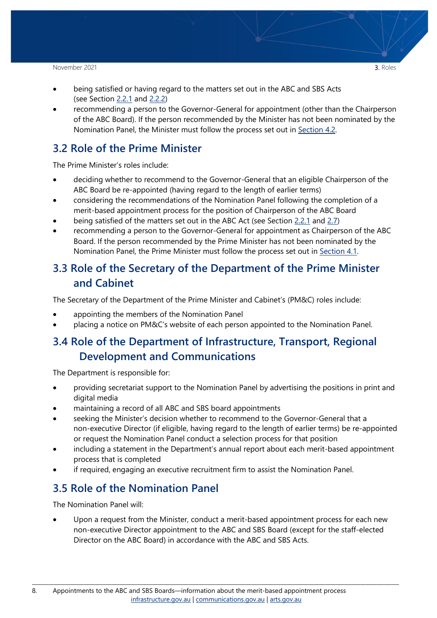#### November 2021 **3.** Roles

- being satisfied or having regard to the matters set out in the ABC and SBS Acts (see Section [2.2.1](#page-4-1) and [2.2.2\)](#page-4-2)
- recommending a person to the Governor-General for appointment (other than the Chairperson of the ABC Board). If the person recommended by the Minister has not been nominated by the Nomination Panel, the Minister must follow the process set out in [Section](#page-8-3) 4.2.

## <span id="page-7-0"></span>**3.2 Role of the Prime Minister**

The Prime Minister's roles include:

- deciding whether to recommend to the Governor-General that an eligible Chairperson of the ABC Board be re-appointed (having regard to the length of earlier terms)
- considering the recommendations of the Nomination Panel following the completion of a merit-based appointment process for the position of Chairperson of the ABC Board
- being satisfied of the matters set out in the ABC Act (see Section [2.2.1](#page-4-1) and [2.7\)](#page-6-0)
- recommending a person to the Governor-General for appointment as Chairperson of the ABC Board. If the person recommended by the Prime Minister has not been nominated by the Nomination Panel, the Prime Minister must follow the process set out in [Section 4.1.](#page-8-2)

## <span id="page-7-1"></span>**3.3 Role of the Secretary of the Department of the Prime Minister and Cabinet**

The Secretary of the Department of the Prime Minister and Cabinet's (PM&C) roles include:

- appointing the members of the Nomination Panel
- placing a notice on PM&C's website of each person appointed to the Nomination Panel.

## <span id="page-7-2"></span>**3.4 Role of the Department of Infrastructure, Transport, Regional Development and Communications**

The Department is responsible for:

- providing secretariat support to the Nomination Panel by advertising the positions in print and digital media
- maintaining a record of all ABC and SBS board appointments
- seeking the Minister's decision whether to recommend to the Governor-General that a non-executive Director (if eligible, having regard to the length of earlier terms) be re-appointed or request the Nomination Panel conduct a selection process for that position
- including a statement in the Department's annual report about each merit-based appointment process that is completed
- if required, engaging an executive recruitment firm to assist the Nomination Panel.

## <span id="page-7-3"></span>**3.5 Role of the Nomination Panel**

The Nomination Panel will:

Upon a request from the Minister, conduct a merit-based appointment process for each new non-executive Director appointment to the ABC and SBS Board (except for the staff-elected Director on the ABC Board) in accordance with the ABC and SBS Acts.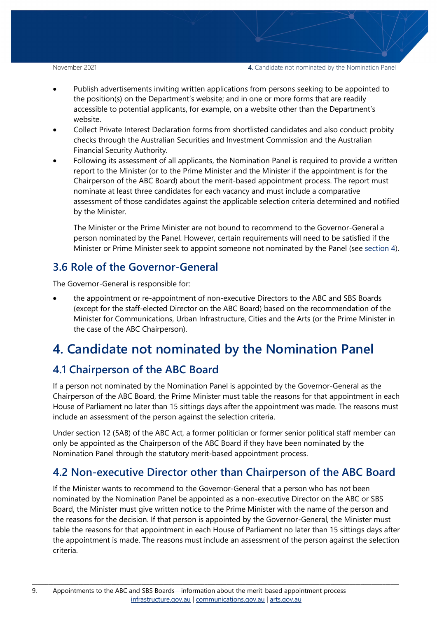November 2021 **4.** Candidate not nominated by the Nomination Panel

- Publish advertisements inviting written applications from persons seeking to be appointed to the position(s) on the Department's website; and in one or more forms that are readily accessible to potential applicants, for example, on a website other than the Department's website.
- Collect Private Interest Declaration forms from shortlisted candidates and also conduct probity checks through the Australian Securities and Investment Commission and the Australian Financial Security Authority.
- Following its assessment of all applicants, the Nomination Panel is required to provide a written report to the Minister (or to the Prime Minister and the Minister if the appointment is for the Chairperson of the ABC Board) about the merit-based appointment process. The report must nominate at least three candidates for each vacancy and must include a comparative assessment of those candidates against the applicable selection criteria determined and notified by the Minister.

The Minister or the Prime Minister are not bound to recommend to the Governor-General a person nominated by the Panel. However, certain requirements will need to be satisfied if the Minister or Prime Minister seek to appoint someone not nominated by the Panel (see [section 4\)](#page-8-1).

## <span id="page-8-0"></span>**3.6 Role of the Governor-General**

The Governor-General is responsible for:

• the appointment or re-appointment of non-executive Directors to the ABC and SBS Boards (except for the staff-elected Director on the ABC Board) based on the recommendation of the Minister for Communications, Urban Infrastructure, Cities and the Arts (or the Prime Minister in the case of the ABC Chairperson).

## <span id="page-8-1"></span>**4. Candidate not nominated by the Nomination Panel**

## <span id="page-8-2"></span>**4.1 Chairperson of the ABC Board**

If a person not nominated by the Nomination Panel is appointed by the Governor-General as the Chairperson of the ABC Board, the Prime Minister must table the reasons for that appointment in each House of Parliament no later than 15 sittings days after the appointment was made. The reasons must include an assessment of the person against the selection criteria.

Under section 12 (5AB) of the ABC Act, a former politician or former senior political staff member can only be appointed as the Chairperson of the ABC Board if they have been nominated by the Nomination Panel through the statutory merit-based appointment process.

## <span id="page-8-3"></span>**4.2 Non-executive Director other than Chairperson of the ABC Board**

If the Minister wants to recommend to the Governor-General that a person who has not been nominated by the Nomination Panel be appointed as a non-executive Director on the ABC or SBS Board, the Minister must give written notice to the Prime Minister with the name of the person and the reasons for the decision. If that person is appointed by the Governor-General, the Minister must table the reasons for that appointment in each House of Parliament no later than 15 sittings days after the appointment is made. The reasons must include an assessment of the person against the selection criteria.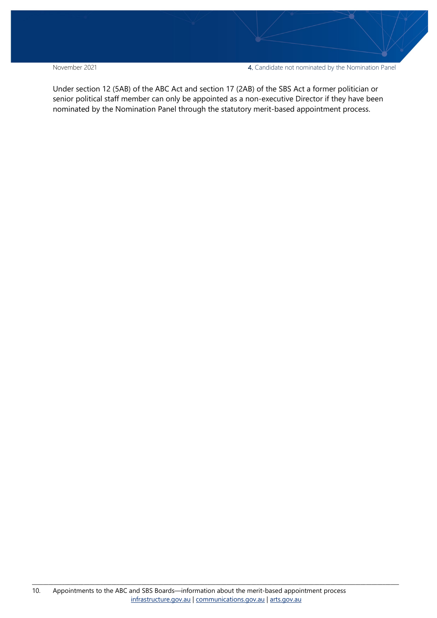November 2021 4. Candidate not nominated by the Nomination Panel

Under section 12 (5AB) of the ABC Act and section 17 (2AB) of the SBS Act a former politician or senior political staff member can only be appointed as a non-executive Director if they have been nominated by the Nomination Panel through the statutory merit-based appointment process.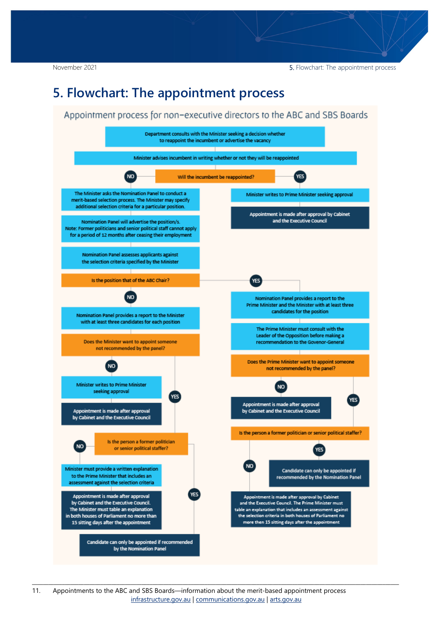November 2021 **5.** Flowchart: The appointment process

## <span id="page-10-0"></span>**5. Flowchart: The appointment process**

#### Appointment process for non-executive directors to the ABC and SBS Boards

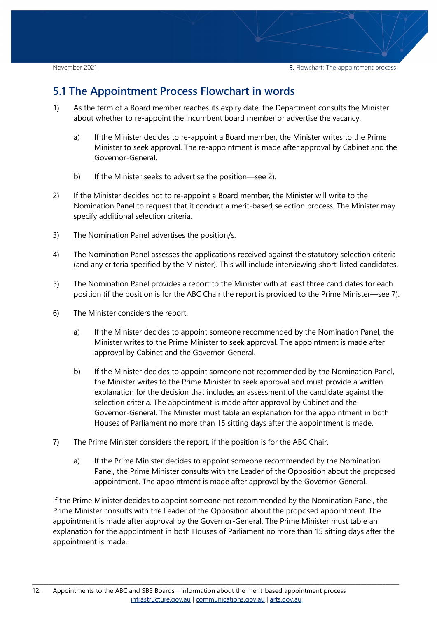### <span id="page-11-0"></span>**5.1 The Appointment Process Flowchart in words**

- 1) As the term of a Board member reaches its expiry date, the Department consults the Minister about whether to re-appoint the incumbent board member or advertise the vacancy.
	- a) If the Minister decides to re-appoint a Board member, the Minister writes to the Prime Minister to seek approval. The re-appointment is made after approval by Cabinet and the Governor-General.
	- b) If the Minister seeks to advertise the position―see 2).
- 2) If the Minister decides not to re-appoint a Board member, the Minister will write to the Nomination Panel to request that it conduct a merit-based selection process. The Minister may specify additional selection criteria.
- 3) The Nomination Panel advertises the position/s.
- 4) The Nomination Panel assesses the applications received against the statutory selection criteria (and any criteria specified by the Minister). This will include interviewing short-listed candidates.
- 5) The Nomination Panel provides a report to the Minister with at least three candidates for each position (if the position is for the ABC Chair the report is provided to the Prime Minister―see 7).
- 6) The Minister considers the report.
	- a) If the Minister decides to appoint someone recommended by the Nomination Panel, the Minister writes to the Prime Minister to seek approval. The appointment is made after approval by Cabinet and the Governor-General.
	- b) If the Minister decides to appoint someone not recommended by the Nomination Panel, the Minister writes to the Prime Minister to seek approval and must provide a written explanation for the decision that includes an assessment of the candidate against the selection criteria. The appointment is made after approval by Cabinet and the Governor-General. The Minister must table an explanation for the appointment in both Houses of Parliament no more than 15 sitting days after the appointment is made.
- 7) The Prime Minister considers the report, if the position is for the ABC Chair.
	- a) If the Prime Minister decides to appoint someone recommended by the Nomination Panel, the Prime Minister consults with the Leader of the Opposition about the proposed appointment. The appointment is made after approval by the Governor-General.

If the Prime Minister decides to appoint someone not recommended by the Nomination Panel, the Prime Minister consults with the Leader of the Opposition about the proposed appointment. The appointment is made after approval by the Governor-General. The Prime Minister must table an explanation for the appointment in both Houses of Parliament no more than 15 sitting days after the appointment is made.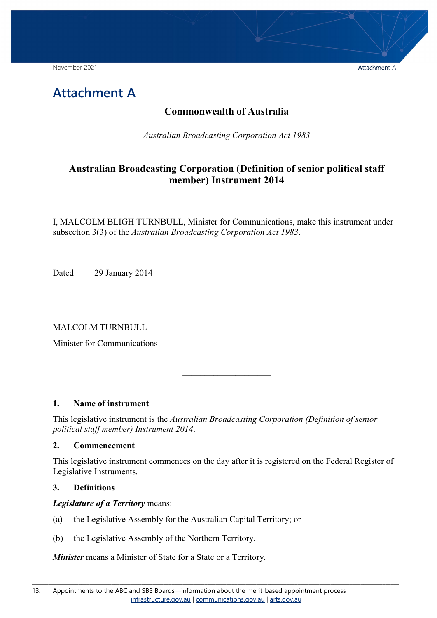November 2021 **Attachment Attachment Attachment Attachment Attachment Attachment Attachment Attachment Attachment Attachment Attachment Attachment Attachment Attachment Attachment Attachment Attachment Attachment Attachmen** 

<span id="page-12-0"></span>

#### **Commonwealth of Australia**

*Australian Broadcasting Corporation Act 1983*

### **Australian Broadcasting Corporation (Definition of senior political staff member) Instrument 2014**

I, MALCOLM BLIGH TURNBULL, Minister for Communications, make this instrument under subsection 3(3) of the *Australian Broadcasting Corporation Act 1983*.

Dated 29 January 2014

MALCOLM TURNBULL

Minister for Communications

#### **1. Name of instrument**

This legislative instrument is the *Australian Broadcasting Corporation (Definition of senior political staff member) Instrument 2014*.

#### **2. Commencement**

This legislative instrument commences on the day after it is registered on the Federal Register of Legislative Instruments.

 $\overline{\phantom{a}}$  , where  $\overline{\phantom{a}}$ 

#### **3. Definitions**

*Legislature of a Territory* means:

- (a) the Legislative Assembly for the Australian Capital Territory; or
- (b) the Legislative Assembly of the Northern Territory.

*Minister* means a Minister of State for a State or a Territory.